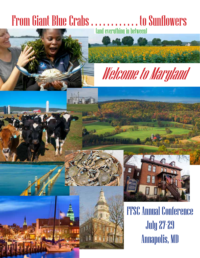# From Giant Blue Crabs . . . . . . . . . . . . . to Sunflowers







FFSC Annual Conference July 27-29 Annapolis, MD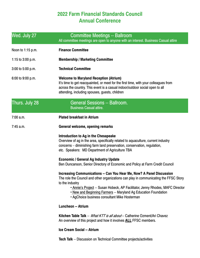## **2022 Farm Financial Standards Council Annual Conference**

| Wed. July 27        | <b>Committee Meetings -- Ballroom</b><br>All committee meetings are open to anyone with an interest. Business Casual attire                                                                                                                                                                                                                                                             |  |  |
|---------------------|-----------------------------------------------------------------------------------------------------------------------------------------------------------------------------------------------------------------------------------------------------------------------------------------------------------------------------------------------------------------------------------------|--|--|
| Noon to 1:15 p.m.   | <b>Finance Committee</b>                                                                                                                                                                                                                                                                                                                                                                |  |  |
| 1:15 to $3:00$ p.m. | <b>Membership / Marketing Committee</b>                                                                                                                                                                                                                                                                                                                                                 |  |  |
| 3:00 to 5:00 p.m.   | <b>Technical Committee</b>                                                                                                                                                                                                                                                                                                                                                              |  |  |
| 6:00 to 9:00 p.m.   | <b>Welcome to Maryland Reception (Atrium)</b><br>It's time to get reacquainted, or meet for the first time, with your colleagues from<br>across the country. This event is a casual indoor/outdoor social open to all<br>attending, including spouses, guests, children                                                                                                                 |  |  |
| Thurs. July 28      | <b>General Sessions -- Ballroom.</b><br><b>Business Casual attire.</b>                                                                                                                                                                                                                                                                                                                  |  |  |
| 7:00 a.m.           | <b>Plated breakfast in Atrium</b>                                                                                                                                                                                                                                                                                                                                                       |  |  |
| 7:45 a.m.           | General welcome, opening remarks                                                                                                                                                                                                                                                                                                                                                        |  |  |
|                     | Introduction to Ag in the Chesapeake<br>Overview of ag in the area, specifically related to aquaculture, current industry<br>concerns - diminishing farm land preservation, conservation, regulation,<br>etc. Speakers: MD Department of Agriculture TBA                                                                                                                                |  |  |
|                     | <b>Economic / General Ag Industry Update</b><br>Ben Duncanson, Senior Directory of Economic and Policy at Farm Credit Council                                                                                                                                                                                                                                                           |  |  |
|                     | Increasing Communications -- Can You Hear Me, Now? A Panel Discussion<br>The role the Council and other organizations can play in communicating the FFSC Story<br>to the industry<br>. Annie's Project -- Susan Hobeck, AP Facilitator, Jenny Rhodes, MAFC Director<br>. New and Beginning Farmers -- Maryland Ag Education Foundation<br>• AgChoice business consultant Mike Hosterman |  |  |
|                     | <b>Luncheon -- Atrium</b>                                                                                                                                                                                                                                                                                                                                                               |  |  |
|                     | Kitchen Table Talk -- <i>What KTT is all about</i> -- Catherine Ozment/Ari Chavez<br>An overview of this project and how it involves <b>ALL</b> FFSC members.                                                                                                                                                                                                                           |  |  |
|                     | <b>Ice Cream Social -- Atrium</b>                                                                                                                                                                                                                                                                                                                                                       |  |  |

**Tech Talk** -- Discussion on Technical Committee projects/activities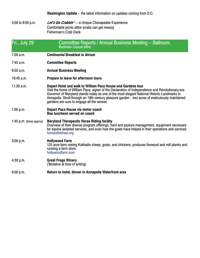**Washington Update** -- the latest information on updates coming from D.C.

5:00 to 9:00 p.m. **Let's Go Crabbin'** --- a Unique Chesapeake Experience Comfortable picnic attire (crabs can get messy) Fisherman's Crab Deck

## Fri., July 29 Committee Reports / Annual Business Meeting -- Ballroom.<br>Business Casual attire.

- 7:00 a.m. **Continental Breakfast in Atrium**
- 7:45 a.m. **Committee Reports**
- 9:30 a.m. **Annual Business Meeting**
- 10:45 a.m. **Prepare to leave for afternoon tours**
- 11:30 a.m. **Depart Hotel and walk to William Paca House and Gardens tour**<br>Visit the home of William Paca, signer of the Declaration of Independence and Revolutionary-era<br>Governor of Maryland stands today as one of the most

## 1:00 p.m. **Depart Paca House via motor coach Box luncheon served on coach**

1:45 p.m. (times approx) Maryland Therapeutic Horse Riding facility<br>Overview of their diverse program offerings, herd and pasture management, equipment necessary<br>for equine assisted services, and even how the goats have he

3:00 p.m. **Hollywood Farm** 125 acre farm raising Kathadin sheep, goats, and chickens, produces firewood and mill planks and running a farm store. hollywoodfarm.com

#### 4:30 p.m. **Great Frogs Winery** (Tentative at time of writing)

6:00 p.m. **Return to hotel, dinner in Annapolis Waterfront area**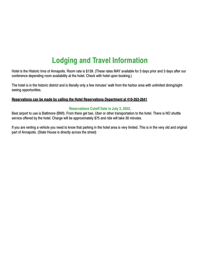## **Lodging and Travel Information**

Hotel is the Historic Inns of Annapolis. Room rate is \$139. (These rates MAY available for 3 days prior and 3 days after our conference depending room availability at the hotel. Check with hotel upon booking.)

The hotel is in the historic district and is literally only a few minutes' walk from the harbor area with unlimited dining/sightseeing opportunities.

#### **Reservations can be made by calling the Hotel Reservations Department at 410-263-2641**

#### **Reservations Cutoff Date is July 3, 2022.**

Best airport to use is Baltimore (BWI). From there get taxi, Uber or other transportation to the hotel. There is NO shuttle service offered by the hotel. Charge will be approximately \$75 and ride will take 30 minutes.

If you are renting a vehicle you need to know that parking in the hotel area is very limited. This is in the very old and original part of Annapolis. (State House is directly across the street)